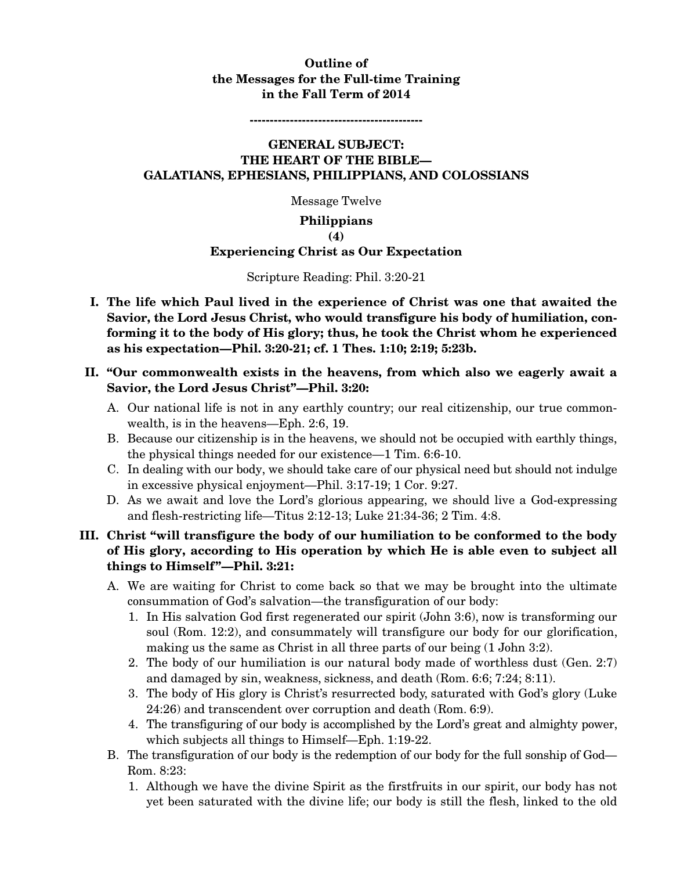# **Outline of the Messages for the Full-time Training in the Fall Term of 2014**

**-------------------------------------------** 

## **GENERAL SUBJECT: THE HEART OF THE BIBLE— GALATIANS, EPHESIANS, PHILIPPIANS, AND COLOSSIANS**

Message Twelve

## **Philippians**

#### **(4)**

#### **Experiencing Christ as Our Expectation**

#### Scripture Reading: Phil. 3:20-21

**I. The life which Paul lived in the experience of Christ was one that awaited the Savior, the Lord Jesus Christ, who would transfigure his body of humiliation, conforming it to the body of His glory; thus, he took the Christ whom he experienced as his expectation—Phil. 3:20-21; cf. 1 Thes. 1:10; 2:19; 5:23b.** 

## **II. "Our commonwealth exists in the heavens, from which also we eagerly await a Savior, the Lord Jesus Christ"—Phil. 3:20:**

- A. Our national life is not in any earthly country; our real citizenship, our true commonwealth, is in the heavens—Eph. 2:6, 19.
- B. Because our citizenship is in the heavens, we should not be occupied with earthly things, the physical things needed for our existence—1 Tim. 6:6-10.
- C. In dealing with our body, we should take care of our physical need but should not indulge in excessive physical enjoyment—Phil. 3:17-19; 1 Cor. 9:27.
- D. As we await and love the Lord's glorious appearing, we should live a God-expressing and flesh-restricting life—Titus 2:12-13; Luke 21:34-36; 2 Tim. 4:8.

# **III. Christ "will transfigure the body of our humiliation to be conformed to the body of His glory, according to His operation by which He is able even to subject all things to Himself"—Phil. 3:21:**

- A. We are waiting for Christ to come back so that we may be brought into the ultimate consummation of God's salvation—the transfiguration of our body:
	- 1. In His salvation God first regenerated our spirit (John 3:6), now is transforming our soul (Rom. 12:2), and consummately will transfigure our body for our glorification, making us the same as Christ in all three parts of our being (1 John 3:2).
	- 2. The body of our humiliation is our natural body made of worthless dust (Gen. 2:7) and damaged by sin, weakness, sickness, and death (Rom. 6:6; 7:24; 8:11).
	- 3. The body of His glory is Christ's resurrected body, saturated with God's glory (Luke 24:26) and transcendent over corruption and death (Rom. 6:9).
	- 4. The transfiguring of our body is accomplished by the Lord's great and almighty power, which subjects all things to Himself—Eph. 1:19-22.
- B. The transfiguration of our body is the redemption of our body for the full sonship of God— Rom. 8:23:
	- 1. Although we have the divine Spirit as the firstfruits in our spirit, our body has not yet been saturated with the divine life; our body is still the flesh, linked to the old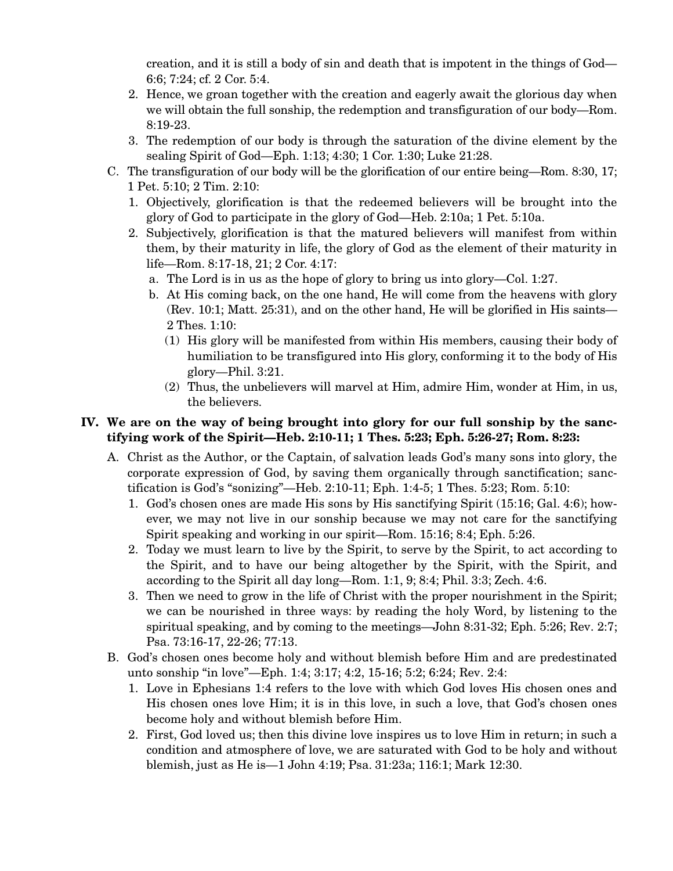creation, and it is still a body of sin and death that is impotent in the things of God— 6:6; 7:24; cf. 2 Cor. 5:4.

- 2. Hence, we groan together with the creation and eagerly await the glorious day when we will obtain the full sonship, the redemption and transfiguration of our body—Rom. 8:19-23.
- 3. The redemption of our body is through the saturation of the divine element by the sealing Spirit of God—Eph. 1:13; 4:30; 1 Cor. 1:30; Luke 21:28.
- C. The transfiguration of our body will be the glorification of our entire being—Rom. 8:30, 17; 1 Pet. 5:10; 2 Tim. 2:10:
	- 1. Objectively, glorification is that the redeemed believers will be brought into the glory of God to participate in the glory of God—Heb. 2:10a; 1 Pet. 5:10a.
	- 2. Subjectively, glorification is that the matured believers will manifest from within them, by their maturity in life, the glory of God as the element of their maturity in life—Rom. 8:17-18, 21; 2 Cor. 4:17:
		- a. The Lord is in us as the hope of glory to bring us into glory—Col. 1:27.
		- b. At His coming back, on the one hand, He will come from the heavens with glory (Rev. 10:1; Matt. 25:31), and on the other hand, He will be glorified in His saints— 2 Thes. 1:10:
			- (1) His glory will be manifested from within His members, causing their body of humiliation to be transfigured into His glory, conforming it to the body of His glory—Phil. 3:21.
			- (2) Thus, the unbelievers will marvel at Him, admire Him, wonder at Him, in us, the believers.

# **IV. We are on the way of being brought into glory for our full sonship by the sanctifying work of the Spirit—Heb. 2:10-11; 1 Thes. 5:23; Eph. 5:26-27; Rom. 8:23:**

- A. Christ as the Author, or the Captain, of salvation leads God's many sons into glory, the corporate expression of God, by saving them organically through sanctification; sanctification is God's "sonizing"—Heb. 2:10-11; Eph. 1:4-5; 1 Thes. 5:23; Rom. 5:10:
	- 1. God's chosen ones are made His sons by His sanctifying Spirit (15:16; Gal. 4:6); however, we may not live in our sonship because we may not care for the sanctifying Spirit speaking and working in our spirit—Rom. 15:16; 8:4; Eph. 5:26.
	- 2. Today we must learn to live by the Spirit, to serve by the Spirit, to act according to the Spirit, and to have our being altogether by the Spirit, with the Spirit, and according to the Spirit all day long—Rom. 1:1, 9; 8:4; Phil. 3:3; Zech. 4:6.
	- 3. Then we need to grow in the life of Christ with the proper nourishment in the Spirit; we can be nourished in three ways: by reading the holy Word, by listening to the spiritual speaking, and by coming to the meetings—John 8:31-32; Eph. 5:26; Rev. 2:7; Psa. 73:16-17, 22-26; 77:13.
- B. God's chosen ones become holy and without blemish before Him and are predestinated unto sonship "in love"—Eph. 1:4; 3:17; 4:2, 15-16; 5:2; 6:24; Rev. 2:4:
	- 1. Love in Ephesians 1:4 refers to the love with which God loves His chosen ones and His chosen ones love Him; it is in this love, in such a love, that God's chosen ones become holy and without blemish before Him.
	- 2. First, God loved us; then this divine love inspires us to love Him in return; in such a condition and atmosphere of love, we are saturated with God to be holy and without blemish, just as He is—1 John 4:19; Psa. 31:23a; 116:1; Mark 12:30.